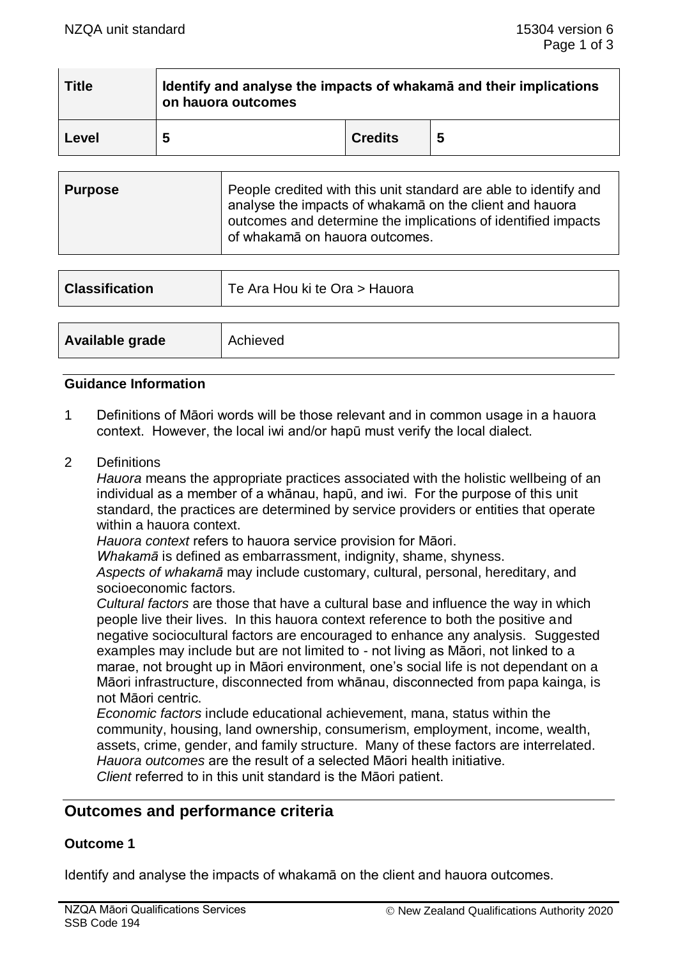| <b>Title</b> | Identify and analyse the impacts of whakama and their implications<br>on hauora outcomes |                |  |  |
|--------------|------------------------------------------------------------------------------------------|----------------|--|--|
| Level        | 5                                                                                        | <b>Credits</b> |  |  |

| <b>Purpose</b> | People credited with this unit standard are able to identify and<br>analyse the impacts of whakamā on the client and hauora<br>outcomes and determine the implications of identified impacts<br>of whakamā on hauora outcomes. |
|----------------|--------------------------------------------------------------------------------------------------------------------------------------------------------------------------------------------------------------------------------|
|                |                                                                                                                                                                                                                                |

| <b>Classification</b> | Te Ara Hou ki te Ora > Hauora |  |
|-----------------------|-------------------------------|--|
|                       |                               |  |
| Available grade       | Achieved                      |  |

#### **Guidance Information**

- 1 Definitions of Māori words will be those relevant and in common usage in a hauora context. However, the local iwi and/or hapū must verify the local dialect.
- 2 Definitions

*Hauora* means the appropriate practices associated with the holistic wellbeing of an individual as a member of a whānau, hapū, and iwi. For the purpose of this unit standard, the practices are determined by service providers or entities that operate within a hauora context.

*Hauora context* refers to hauora service provision for Māori.

*Whakamā* is defined as embarrassment, indignity, shame, shyness.

*Aspects of whakamā* may include customary, cultural, personal, hereditary, and socioeconomic factors.

*Cultural factors* are those that have a cultural base and influence the way in which people live their lives. In this hauora context reference to both the positive and negative sociocultural factors are encouraged to enhance any analysis. Suggested examples may include but are not limited to - not living as Māori, not linked to a marae, not brought up in Māori environment, one's social life is not dependant on a Māori infrastructure, disconnected from whānau, disconnected from papa kainga, is not Māori centric.

*Economic factors* include educational achievement, mana, status within the community, housing, land ownership, consumerism, employment, income, wealth, assets, crime, gender, and family structure. Many of these factors are interrelated. *Hauora outcomes* are the result of a selected Māori health initiative. *Client* referred to in this unit standard is the Māori patient.

### **Outcomes and performance criteria**

#### **Outcome 1**

Identify and analyse the impacts of whakamā on the client and hauora outcomes.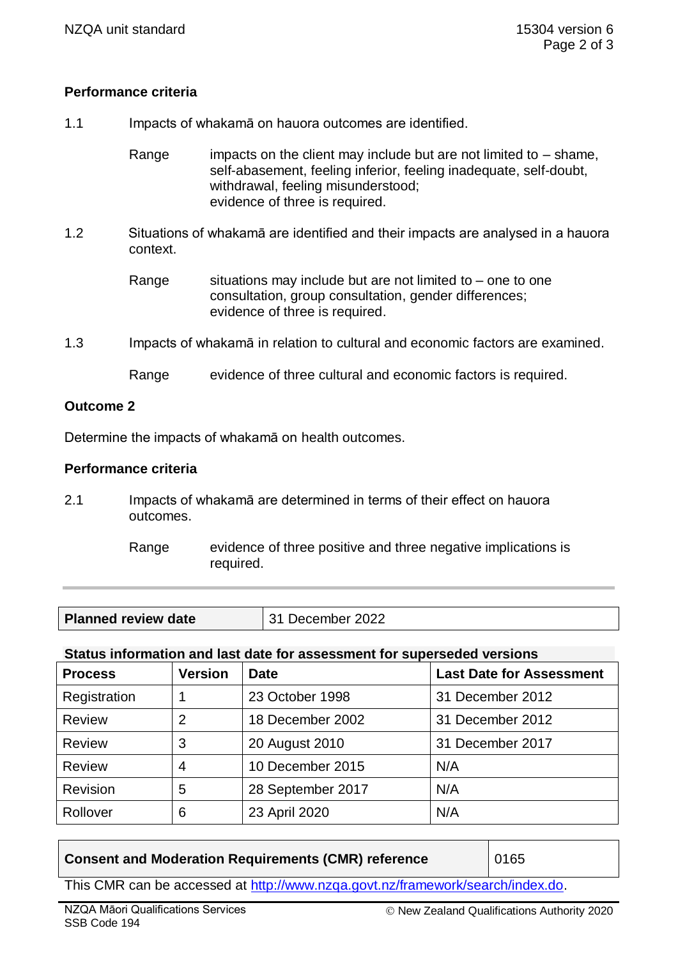## **Performance criteria**

1.1 Impacts of whakamā on hauora outcomes are identified.

Range impacts on the client may include but are not limited to  $-$  shame, self-abasement, feeling inferior, feeling inadequate, self-doubt, withdrawal, feeling misunderstood; evidence of three is required.

1.2 Situations of whakamā are identified and their impacts are analysed in a hauora context.

> Range situations may include but are not limited to – one to one consultation, group consultation, gender differences; evidence of three is required.

1.3 Impacts of whakamā in relation to cultural and economic factors are examined.

Range evidence of three cultural and economic factors is required.

### **Outcome 2**

Determine the impacts of whakamā on health outcomes.

#### **Performance criteria**

- 2.1 Impacts of whakamā are determined in terms of their effect on hauora outcomes.
	- Range evidence of three positive and three negative implications is required.

| <b>Planned review date</b> | December 2022<br>31 |
|----------------------------|---------------------|
|----------------------------|---------------------|

### **Status information and last date for assessment for superseded versions**

| <b>Process</b> | <b>Version</b> | <b>Date</b>       | <b>Last Date for Assessment</b> |
|----------------|----------------|-------------------|---------------------------------|
| Registration   |                | 23 October 1998   | 31 December 2012                |
| Review         | 2              | 18 December 2002  | 31 December 2012                |
| Review         | 3              | 20 August 2010    | 31 December 2017                |
| Review         | 4              | 10 December 2015  | N/A                             |
| Revision       | 5              | 28 September 2017 | N/A                             |
| Rollover       | 6              | 23 April 2020     | N/A                             |

### **Consent and Moderation Requirements (CMR) reference**  0165

This CMR can be accessed at [http://www.nzqa.govt.nz/framework/search/index.do.](http://www.nzqa.govt.nz/framework/search/index.do)